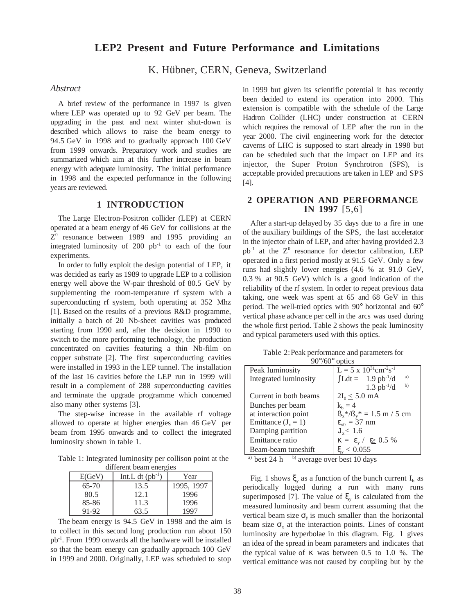# **LEP2 Present and Future Performance and Limitations**

K. Hübner, CERN, Geneva, Switzerland

## *Abstract*

A brief review of the performance in 1997 is given where LEP was operated up to 92 GeV per beam. The upgrading in the past and next winter shut-down is described which allows to raise the beam energy to 94.5 GeV in 1998 and to gradually approach 100 GeV from 1999 onwards. Preparatory work and studies are summarized which aim at this further increase in beam energy with adequate luminosity. The initial performance in 1998 and the expected performance in the following years are reviewed.

## **1 INTRODUCTION**

The Large Electron-Positron collider (LEP) at CERN operated at a beam energy of 46 GeV for collisions at the  $Z^0$  resonance between 1989 and 1995 providing an integrated luminosity of  $200$  pb<sup>-1</sup> to each of the four experiments.

In order to fully exploit the design potential of LEP, it was decided as early as 1989 to upgrade LEP to a collision energy well above the W-pair threshold of 80.5 GeV by supplementing the room-temperature rf system with a superconducting rf system, both operating at 352 Mhz [1]. Based on the results of a previous R&D programme, initially a batch of 20 Nb-sheet cavities was produced starting from 1990 and, after the decision in 1990 to switch to the more performing technology, the production concentrated on cavities featuring a thin Nb-film on copper substrate [2]. The first superconducting cavities were installed in 1993 in the LEP tunnel. The installation of the last 16 cavities before the LEP run in 1999 will result in a complement of 288 superconducting cavities and terminate the upgrade programme which concerned also many other systems [3].

The step-wise increase in the available rf voltage allowed to operate at higher energies than 46 GeV per beam from 1995 onwards and to collect the integrated luminosity shown in table 1.

Table 1: Integrated luminosity per collison point at the different beam energies

| E(GeV)    | Int.L dt $(pb^{-1})$ | Year       |  |  |  |  |
|-----------|----------------------|------------|--|--|--|--|
| $65 - 70$ | 13.5                 | 1995, 1997 |  |  |  |  |
| 80.5      | 12.1                 | 1996       |  |  |  |  |
| 85-86     | 11.3                 | 1996       |  |  |  |  |
| 91-92     | 63.5                 | 1997       |  |  |  |  |

The beam energy is 94.5 GeV in 1998 and the aim is to collect in this second long production run about 150 pb-1. From 1999 onwards all the hardware will be installed so that the beam energy can gradually approach 100 GeV in 1999 and 2000. Originally, LEP was scheduled to stop

in 1999 but given its scientific potential it has recently been decided to extend its operation into 2000. This extension is compatible with the schedule of the Large Hadron Collider (LHC) under construction at CERN which requires the removal of LEP after the run in the year 2000. The civil engineering work for the detector caverns of LHC is supposed to start already in 1998 but can be scheduled such that the impact on LEP and its injector, the Super Proton Synchrotron (SPS), is acceptable provided precautions are taken in LEP and SPS [4].

## **2 OPERATION AND PERFORMANCE IN 1997** [5,6]

After a start-up delayed by 35 days due to a fire in one of the auxiliary buildings of the SPS, the last accelerator in the injector chain of LEP, and after having provided 2.3  $pb^{-1}$  at the  $Z^0$  resonance for detector calibration, LEP operated in a first period mostly at 91.5 GeV. Only a few runs had slightly lower energies (4.6 % at 91.0 GeV, 0.3 % at 90.5 GeV) which is a good indication of the reliability of the rf system. In order to repeat previous data taking, one week was spent at 65 and 68 GeV in this period. The well-tried optics with 90° horizontal and 60° vertical phase advance per cell in the arcs was used during the whole first period. Table 2 shows the peak luminosity and typical parameters used with this optics.

Table 2:Peak performance and parameters for 90°/60° optics

| 20,00,000                |                                                     |  |  |  |
|--------------------------|-----------------------------------------------------|--|--|--|
| Peak luminosity          | $L = 5 \times 10^{31} \text{cm}^{-2} \text{s}^{-1}$ |  |  |  |
| Integrated luminosity    | a)<br>$\int L dt = 1.9$ pb <sup>-1</sup> /d         |  |  |  |
|                          | b)<br>$1.3 pb^{-1}/d$                               |  |  |  |
| Current in both beams    | $2I_0 \leq 5.0$ mA                                  |  |  |  |
| Bunches per beam         | $k_h = 4$                                           |  |  |  |
| at interaction point     | $B_x^*/B_y^* = 1.5$ m / 5 cm                        |  |  |  |
| Emittance $(J_x = 1)$    | $\epsilon_{x0}$ = 37 nm                             |  |  |  |
| Damping partition        | $J_x \leq 1.6$                                      |  |  |  |
| Emittance ratio          | $\kappa = \varepsilon_v / \varepsilon \geq 0.5 \%$  |  |  |  |
| Beam-beam tuneshift      | $\xi_{\rm v} \leq 0.055$                            |  |  |  |
| $\alpha$<br>$\mathbf{F}$ | $\cdots$                                            |  |  |  |

<sup>a)</sup> best 24 h  $\rightarrow$  b) average over best 10 days

Fig. 1 shows  $\xi$ <sub>v</sub> as a function of the bunch current I<sub>b</sub> as periodically logged during a run with many runs superimposed [7]. The value of  $\zeta_{y}$  is calculated from the measured luminosity and beam current assuming that the vertical beam size  $\sigma_{v}$  is much smaller than the horizontal beam size  $\sigma_x$  at the interaction points. Lines of constant luminosity are hyperbolae in this diagram. Fig. 1 gives an idea of the spread in beam parameters and indicates that the typical value of κ was between 0.5 to 1.0 %. The vertical emittance was not caused by coupling but by the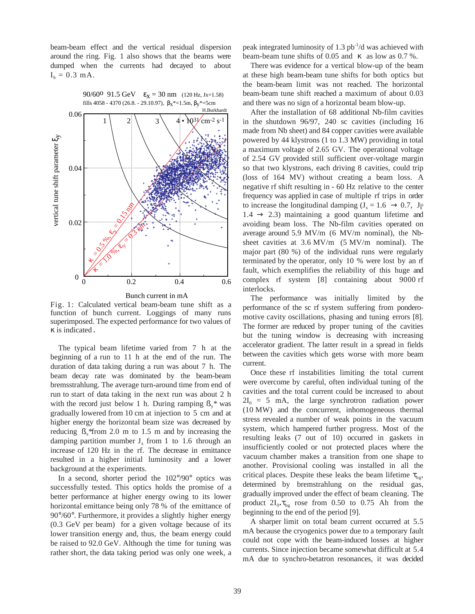beam-beam effect and the vertical residual dispersion around the ring. Fig. 1 also shows that the beams were dumped when the currents had decayed to about  $I_b = 0.3$  mA.



Fig. 1: Calculated vertical beam-beam tune shift as a function of bunch current. Loggings of many runs superimposed. The expected performance for two values of κ is indicated.

The typical beam lifetime varied from 7 h at the beginning of a run to 11 h at the end of the run. The duration of data taking during a run was about 7 h. The beam decay rate was dominated by the beam-beam bremsstrahlung. The average turn-around time from end of run to start of data taking in the next run was about 2 h with the record just below 1 h. During ramping  $B_y^*$  was gradually lowered from 10 cm at injection to 5 cm and at higher energy the horizontal beam size was decreased by reducing  $\beta$ <sup>\*</sup>from 2.0 m to 1.5 m and by increasing the damping partition mumber  $J_x$  from 1 to 1.6 through an increase of 120 Hz in the rf. The decrease in emittance resulted in a higher initial luminosity and a lower background at the experiments.

In a second, shorter period the 102°/90° optics was successfully tested. This optics holds the promise of a better performance at higher energy owing to its lower horizontal emittance being only 78 % of the emittance of 90°/60°. Furthermore, it provides a slightly higher energy (0.3 GeV per beam) for a given voltage because of its lower transition energy and, thus, the beam energy could be raised to 92.0 GeV. Although the time for tuning was rather short, the data taking period was only one week, a peak integrated luminosity of 1.3  $pb^{-1}/d$  was achieved with beam-beam tune shifts of 0.05 and  $\kappa$  as low as 0.7 %.

There was evidence for a vertical blow-up of the beam at these high beam-beam tune shifts for both optics but the beam-beam limit was not reached. The horizontal beam-beam tune shift reached a maximum of about 0.03 and there was no sign of a horizontal beam blow-up.

After the installation of 68 additional Nb-film cavities in the shutdown 96/97, 240 sc cavities (including 16 made from Nb sheet) and 84 copper cavities were available powered by 44 klystrons (1 to 1.3 MW) providing in total a maximum voltage of 2.65 GV. The operational voltage of 2.54 GV provided still sufficient over-voltage margin so that two klystrons, each driving 8 cavities, could trip (loss of 164 MV) without creating a beam loss. A negative rf shift resulting in - 60 Hz relative to the center frequency was applied in case of multiple rf trips in order to increase the longitudinal damping  $(J_x = 1.6 \rightarrow 0.7, J_{\overline{x}})$  $1.4 \rightarrow 2.3$ ) maintaining a good quantum lifetime and avoiding beam loss. The Nb-film cavities operated on average around 5.9 MV/m (6 MV/m nominal), the Nbsheet cavities at 3.6 MV/m (5 MV/m nominal). The major part (80 %) of the individual runs were regularly terminated by the operator, only 10 % were lost by an rf fault, which exemplifies the reliability of this huge and complex rf system [8] containing about 9000 rf interlocks.

The performance was initially limited by the performance of the sc rf system suffering from ponderomotive cavity oscillations, phasing and tuning errors [8]. The former are reduced by proper tuning of the cavities but the tuning window is decreasing with increasing accelerator gradient. The latter result in a spread in fields between the cavities which gets worse with more beam current.

Once these rf instabilities limiting the total current were overcome by careful, often individual tuning of the cavities and the total current could be increased to about  $2I_0 = 5$  mA, the large synchrotron radiation power (10 MW) and the concurrent, inhomogeneous thermal stress revealed a number of weak points in the vacuum system, which hampered further progress. Most of the resulting leaks (7 out of 10) occurred in gaskets in insufficiently cooled or not protected places where the vacuum chamber makes a transition from one shape to another. Provisional cooling was installed in all the critical places. Despite these leaks the beam lifetime  $\tau_{\rm bo}$ , determined by bremstrahlung on the residual gas, gradually improved under the effect of beam cleaning. The product  $2I_0 \cdot \tau_{bg}$  rose from 0.50 to 0.75 Ah from the beginning to the end of the period [9].

A sharper limit on total beam current occurred at 5.5 mA because the cryogenics power due to a temporary fault could not cope with the beam-induced losses at higher currents. Since injection became somewhat difficult at 5.4 mA due to synchro-betatron resonances, it was decided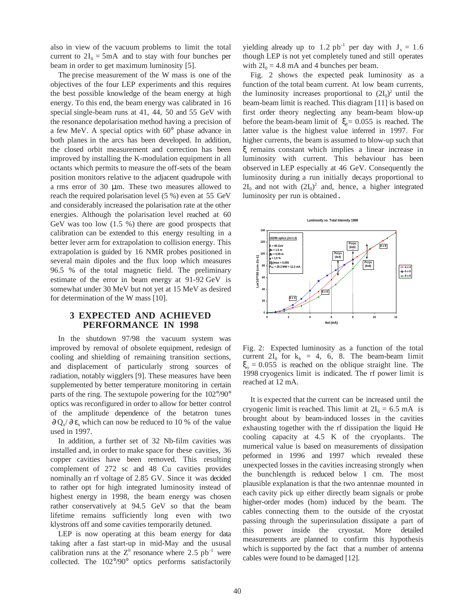also in view of the vacuum problems to limit the total current to  $2I_0 = 5mA$  and to stay with four bunches per beam in order to get maximum luminosity [5].

The precise measurement of the W mass is one of the objectives of the four LEP experiments and this requires the best possible knowledge of the beam energy at high energy. To this end, the beam energy was calibrated in 16 special single-beam runs at 41, 44, 50 and 55 GeV with the resonance depolarisation method having a precision of a few MeV. A special optics with 60° phase advance in both planes in the arcs has been developed. In addition, the closed orbit measurement and correction has been improved by installing the K-modulation equipment in all octants which permits to measure the off-sets of the beam position monitors relative to the adjacent quadrupole with a rms error of 30 µm. These two measures allowed to reach the required polarisation level (5 %) even at 55 GeV and considerably increased the polarisation rate at the other energies. Although the polarisation level reached at 60 GeV was too low (1.5 %) there are good prospects that calibration can be extended to this energy resulting in a better lever arm for extrapolation to collision energy. This extrapolation is guided by 16 NMR probes positioned in several main dipoles and the flux loop which measures 96.5 % of the total magnetic field. The preliminary estimate of the error in beam energy at 91-92 GeV is somewhat under 30 MeV but not yet at 15 MeV as desired for determination of the W mass [10].

## **3 EXPECTED AND ACHIEVED PERFORMANCE IN 1998**

In the shutdown 97/98 the vacuum system was improved by removal of obsolete equipment, redesign of cooling and shielding of remaining transition sections, and displacement of particularly strong sources of radiation, notably wigglers [9]. These measures have been supplemented by better temperature monitoring in certain parts of the ring. The sextupole powering for the 102°/90° optics was reconfigured in order to allow for better control of the amplitude dependence of the betatron tunes  $\partial Q_x/\partial \varepsilon_x$  which can now be reduced to 10 % of the value used in 1997.

In addition, a further set of 32 Nb-film cavities was installed and, in order to make space for these cavities, 36 copper cavities have been removed. This resulting complement of 272 sc and 48 Cu cavities provides nominally an rf voltage of 2.85 GV. Since it was decided to rather opt for high integrated luminosity instead of highest energy in 1998, the beam energy was chosen rather conservatively at 94.5 GeV so that the beam lifetime remains sufficiently long even with two klystrons off and some cavities temporarily detuned.

LEP is now operating at this beam energy for data taking after a fast start-up in mid-May and the ususal calibration runs at the  $Z^0$  resonance where 2.5 pb<sup>-1</sup> were collected. The 102°/90° optics performs satisfactorily

yielding already up to 1.2 pb<sup>-1</sup> per day with  $J_x = 1.6$ though LEP is not yet completely tuned and still operates with  $2I_0 = 4.8$  mA and 4 bunches per beam.

Fig. 2 shows the expected peak luminosity as a function of the total beam current. At low beam currents, the luminosity increases proportional to  $(2I_0)^2$  until the beam-beam limit is reached. This diagram [11] is based on first order theory neglecting any beam-beam blow-up before the beam-beam limit of  $\xi_y = 0.055$  is reached. The latter value is the highest value inferred in 1997. For higher currents, the beam is assumed to blow-up such that ξ remains constant which implies a linear increase in luminosity with current. This behaviour has been observed in LEP especially at 46 GeV. Consequently the luminosity during a run initially decays proportional to  $2I_0$  and not with  $(2I_0)^2$  and, hence, a higher integrated luminosity per run is obtained.



Fig. 2: Expected luminosity as a function of the total current  $2I_0$  for  $k_b = 4$ , 6, 8. The beam-beam limit  $\xi_y = 0.055$  is reached on the oblique straight line. The 1998 cryogenics limit is indicated. The rf power limit is reached at 12 mA.

It is expected that the current can be increased until the cryogenic limit is reached. This limit at  $2I_0 = 6.5$  mA is brought about by beam-induced losses in the cavities exhausting together with the rf dissipation the liquid He cooling capacity at 4.5 K of the cryoplants. The numerical value is based on measurements of dissipation peformed in 1996 and 1997 which revealed these unexpected losses in the cavities increasing strongly when the bunchlength is reduced below 1 cm. The most plausible explanation is that the two antennae mounted in each cavity pick up either directly beam signals or probe higher-order modes (hom) induced by the beam. The cables connecting them to the outside of the cryostat passing through the superinsulation dissipate a part of this power inside the cryostat. More detailed measurements are planned to confirm this hypothesis which is supported by the fact that a number of antenna cables were found to be damaged [12].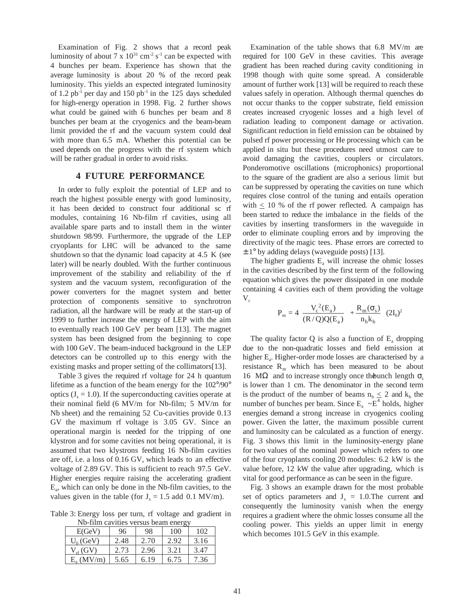Examination of Fig. 2 shows that a record peak luminosity of about 7 x  $10^{31}$  cm<sup>-2</sup> s<sup>-1</sup> can be expected with 4 bunches per beam. Experience has shown that the average luminosity is about 20 % of the record peak luminosity. This yields an expected integrated luminosity of 1.2 pb<sup>-1</sup> per day and 150 pb<sup>-1</sup> in the 125 days scheduled for high-energy operation in 1998. Fig. 2 further shows what could be gained with 6 bunches per beam and 8 bunches per beam at the cryogenics and the beam-beam limit provided the rf and the vacuum system could deal with more than 6.5 mA. Whether this potential can be used depends on the progress with the rf system which will be rather gradual in order to avoid risks.

### **4 FUTURE PERFORMANCE**

In order to fully exploit the potential of LEP and to reach the highest possible energy with good luminosity, it has been decided to construct four additional sc rf modules, containing 16 Nb-film rf cavities, using all available spare parts and to install them in the winter shutdown 98/99. Furthermore, the upgrade of the LEP cryoplants for LHC will be advanced to the same shutdown so that the dynamic load capacity at 4.5 K (see later) will be nearly doubled. With the further continuous improvement of the stability and reliability of the rf system and the vacuum system, reconfiguration of the power converters for the magnet system and better protection of components sensitive to synchrotron radiation, all the hardware will be ready at the start-up of 1999 to further increase the energy of LEP with the aim to eventually reach 100 GeV per beam [13]. The magnet system has been designed from the beginning to cope with 100 GeV. The beam-induced background in the LEP detectors can be controlled up to this energy with the existing masks and proper setting of the collimators[13].

Table 3 gives the required rf voltage for 24 h quantum lifetime as a function of the beam energy for the 102°/90° optics  $(J_{x} = 1.0)$ . If the superconducting cavities operate at their nominal field (6 MV/m for Nb-film; 5 MV/m for Nb sheet) and the remaining 52 Cu-cavities provide 0.13 GV the maximum rf voltage is 3.05 GV. Since an operational margin is needed for the tripping of one klystron and for some cavities not being operational, it is assumed that two klystrons feeding 16 Nb-film cavities are off, i.e. a loss of 0.16 GV, which leads to an effective voltage of 2.89 GV. This is sufficient to reach 97.5 GeV. Higher energies require raising the accelerating gradient  $E_a$ , which can only be done in the Nb-film cavities, to the values given in the table (for  $J_x = 1.5$  add 0.1 MV/m).

Table 3: Energy loss per turn, rf voltage and gradient in Nb-film cavities versus beam energy

|                    |      |      | ▱-   |      |
|--------------------|------|------|------|------|
| E(GeV)             | 96   | 98   | 100  | 102  |
| $U_0$ (GeV)        | 2.48 | 2.70 | 2.92 | 3.16 |
| $V_{\rm rf}$ (GV)  | 2.73 | 2.96 | 3.21 | 3.47 |
| $E_{\rm o}$ (MV/m) | 5.65 | 6.19 | 6.75 | 7.36 |

Examination of the table shows that 6.8 MV/m are required for 100 GeV in these cavities. This average gradient has been reached during cavity conditioning in 1998 though with quite some spread. A considerable amount of further work [13] will be required to reach these values safely in operation. Although thermal quenches do not occur thanks to the copper substrate, field emission creates increased cryogenic losses and a high level of radiation leading to component damage or activation. Significant reduction in field emission can be obtained by pulsed rf power processing or He processing which can be applied in situ but these procedures need utmost care to avoid damaging the cavities, couplers or circulators. Ponderomotive oscillations (microphonics) proportional to the square of the gradient are also a serious limit but can be suppressed by operating the cavities on tune which requires close control of the tuning and entails operation with  $\leq$  10 % of the rf power reflected. A campaign has been started to reduce the imbalance in the fields of the cavities by inserting transformers in the waveguide in order to eliminate coupling errors and by improving the directivity of the magic tees. Phase errors are corrected to  $\pm$  1° by adding delays (waveguide posts) [13].

The higher gradients  $E_a$  will increase the ohmic losses in the cavities described by the first term of the following equation which gives the power dissipated in one module containing 4 cavities each of them providing the voltage  $V_c$ 

$$
P_m = 4 \frac{V_c^2(E_a)}{(R/Q)Q(E_a)} + \frac{R_m(\sigma_s)}{n_b k_b} (2I_0)^2
$$

The quality factor Q is also a function of  $E_a$  dropping due to the non-quadratic losses and field emission at higher  $E_a$ . Higher-order mode losses are characterised by a resistance  $R_m$  which has been measured to be about 16 MΩ and to increase strongly once the bunch length  $\sigma_s$ is lower than 1 cm. The denominator in the second term is the product of the number of beams  $n_b \le 2$  and  $k_b$  the number of bunches per beam. Since  $E_a \sim E^4$  holds, higher energies demand a strong increase in cryogenics cooling power. Given the latter, the maximum possible current and luminosity can be calculated as a function of energy. Fig. 3 shows this limit in the luminosity-energy plane for two values of the nominal power which refers to one of the four cryoplants cooling 20 modules: 6.2 kW is the value before, 12 kW the value after upgrading, which is vital for good performance as can be seen in the figure.

Fig. 3 shows an example drawn for the most probable set of optics parameters and  $J<sub>x</sub> = 1.0$ . The current and consequently the luminosity vanish when the energy requires a gradient where the ohmic losses consume all the cooling power. This yields an upper limit in energy which becomes 101.5 GeV in this example.